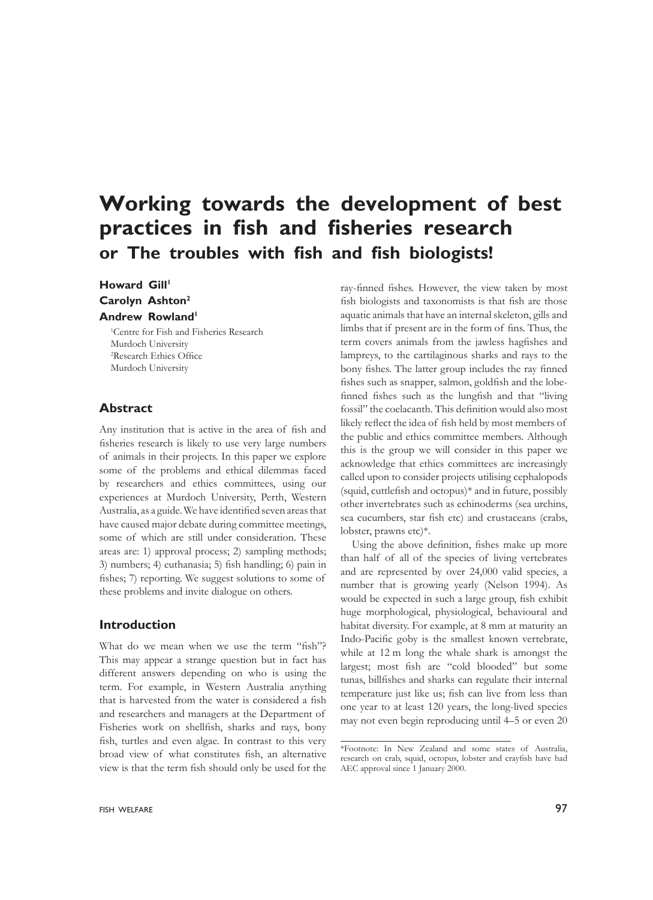# **Working towards the development of best practices in fish and fisheries research or The troubles with fish and fish biologists!**

# **Howard Gill<sup>1</sup> Carolyn Ashton2 Andrew Rowland**<sup>1</sup>

1 Centre for Fish and Fisheries Research Murdoch University 2 Research Ethics Office Murdoch University

# **Abstract**

Any institution that is active in the area of fish and fisheries research is likely to use very large numbers of animals in their projects. In this paper we explore some of the problems and ethical dilemmas faced by researchers and ethics committees, using our experiences at Murdoch University, Perth, Western Australia, as a guide. We have identified seven areas that have caused major debate during committee meetings, some of which are still under consideration. These areas are: 1) approval process; 2) sampling methods; 3) numbers; 4) euthanasia; 5) fish handling; 6) pain in fishes; 7) reporting. We suggest solutions to some of these problems and invite dialogue on others.

# **Introduction**

What do we mean when we use the term "fish"? This may appear a strange question but in fact has different answers depending on who is using the term. For example, in Western Australia anything that is harvested from the water is considered a fish and researchers and managers at the Department of Fisheries work on shellfish, sharks and rays, bony fish, turtles and even algae. In contrast to this very broad view of what constitutes fish, an alternative view is that the term fish should only be used for the

ray-finned fishes. However, the view taken by most fish biologists and taxonomists is that fish are those aquatic animals that have an internal skeleton, gills and limbs that if present are in the form of fins. Thus, the term covers animals from the jawless hagfishes and lampreys, to the cartilaginous sharks and rays to the bony fishes. The latter group includes the ray finned fishes such as snapper, salmon, goldfish and the lobefinned fishes such as the lungfish and that "living fossil" the coelacanth. This definition would also most likely reflect the idea of fish held by most members of the public and ethics committee members. Although this is the group we will consider in this paper we acknowledge that ethics committees are increasingly called upon to consider projects utilising cephalopods (squid, cuttlefish and octopus)\* and in future, possibly other invertebrates such as echinoderms (sea urchins, sea cucumbers, star fish etc) and crustaceans (crabs, lobster, prawns etc)\*.

Using the above definition, fishes make up more than half of all of the species of living vertebrates and are represented by over 24,000 valid species, a number that is growing yearly (Nelson 1994). As would be expected in such a large group, fish exhibit huge morphological, physiological, behavioural and habitat diversity. For example, at 8 mm at maturity an Indo-Pacific goby is the smallest known vertebrate, while at 12 m long the whale shark is amongst the largest; most fish are "cold blooded" but some tunas, billfishes and sharks can regulate their internal temperature just like us; fish can live from less than one year to at least 120 years, the long-lived species may not even begin reproducing until 4–5 or even 20

<sup>\*</sup>Footnote: In New Zealand and some states of Australia, research on crab, squid, octopus, lobster and crayfish have had AEC approval since 1 January 2000.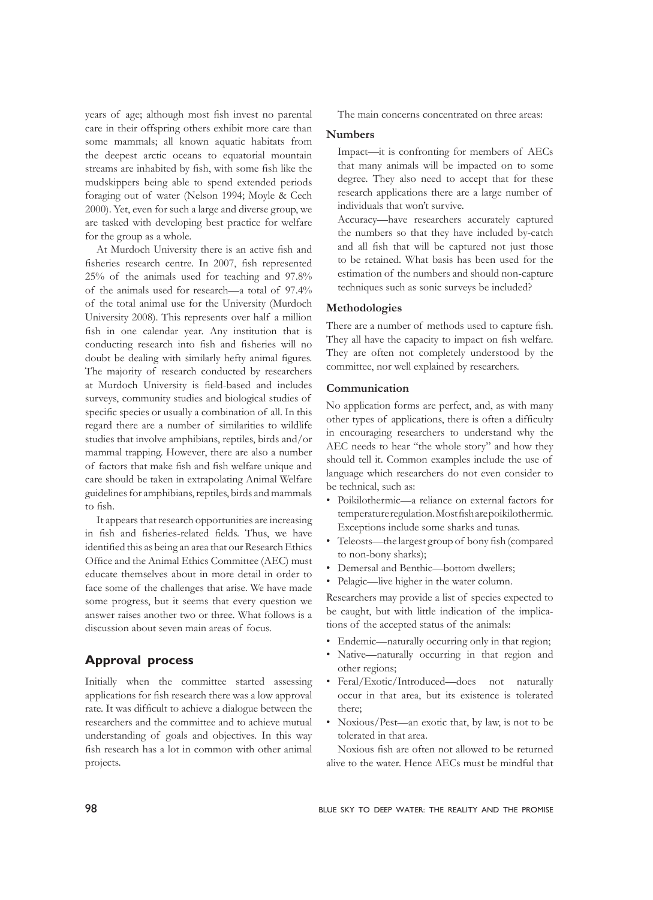years of age; although most fish invest no parental care in their offspring others exhibit more care than some mammals; all known aquatic habitats from the deepest arctic oceans to equatorial mountain streams are inhabited by fish, with some fish like the mudskippers being able to spend extended periods foraging out of water (Nelson 1994; Moyle & Cech 2000). Yet, even for such a large and diverse group, we are tasked with developing best practice for welfare for the group as a whole.

At Murdoch University there is an active fish and fisheries research centre. In 2007, fish represented 25% of the animals used for teaching and 97.8% of the animals used for research—a total of 97.4% of the total animal use for the University (Murdoch University 2008). This represents over half a million fish in one calendar year. Any institution that is conducting research into fish and fisheries will no doubt be dealing with similarly hefty animal figures. The majority of research conducted by researchers at Murdoch University is field-based and includes surveys, community studies and biological studies of specific species or usually a combination of all. In this regard there are a number of similarities to wildlife studies that involve amphibians, reptiles, birds and/or mammal trapping. However, there are also a number of factors that make fish and fish welfare unique and care should be taken in extrapolating Animal Welfare guidelines for amphibians, reptiles, birds and mammals to fish.

It appears that research opportunities are increasing in fish and fisheries-related fields. Thus, we have identified this as being an area that our Research Ethics Office and the Animal Ethics Committee (AEC) must educate themselves about in more detail in order to face some of the challenges that arise. We have made some progress, but it seems that every question we answer raises another two or three. What follows is a discussion about seven main areas of focus.

# **Approval process**

Initially when the committee started assessing applications for fish research there was a low approval rate. It was difficult to achieve a dialogue between the researchers and the committee and to achieve mutual understanding of goals and objectives. In this way fish research has a lot in common with other animal projects.

The main concerns concentrated on three areas:

## **Numbers**

Impact—it is confronting for members of AECs that many animals will be impacted on to some degree. They also need to accept that for these research applications there are a large number of individuals that won't survive.

Accuracy—have researchers accurately captured the numbers so that they have included by-catch and all fish that will be captured not just those to be retained. What basis has been used for the estimation of the numbers and should non-capture techniques such as sonic surveys be included?

#### **Methodologies**

There are a number of methods used to capture fish. They all have the capacity to impact on fish welfare. They are often not completely understood by the committee, nor well explained by researchers.

#### **Communication**

No application forms are perfect, and, as with many other types of applications, there is often a difficulty in encouraging researchers to understand why the AEC needs to hear "the whole story" and how they should tell it. Common examples include the use of language which researchers do not even consider to be technical, such as:

- Poikilothermic—a reliance on external factors for temperature regulation. Most fish are poikilothermic. Exceptions include some sharks and tunas.
- Teleosts—the largest group of bony fish (compared to non-bony sharks);
- Demersal and Benthic—bottom dwellers;
- Pelagic—live higher in the water column.

Researchers may provide a list of species expected to be caught, but with little indication of the implications of the accepted status of the animals:

- Endemic—naturally occurring only in that region;
- Native—naturally occurring in that region and other regions;
- Feral/Exotic/Introduced—does not naturally occur in that area, but its existence is tolerated there;
- Noxious/Pest—an exotic that, by law, is not to be tolerated in that area.

Noxious fish are often not allowed to be returned alive to the water. Hence AECs must be mindful that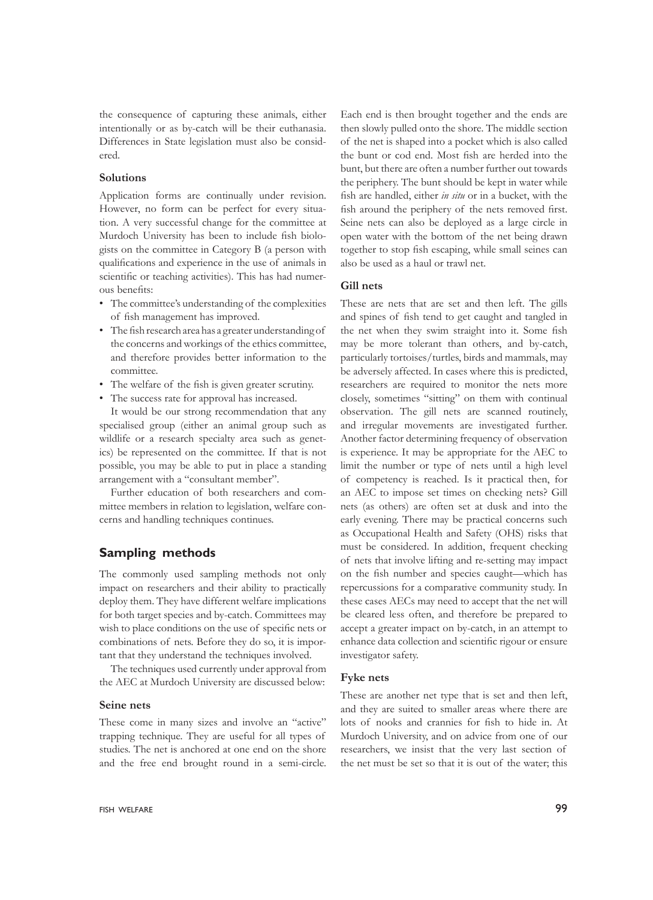the consequence of capturing these animals, either intentionally or as by-catch will be their euthanasia. Differences in State legislation must also be considered.

#### **Solutions**

Application forms are continually under revision. However, no form can be perfect for every situation. A very successful change for the committee at Murdoch University has been to include fish biologists on the committee in Category B (a person with qualifications and experience in the use of animals in scientific or teaching activities). This has had numerous benefits:

- The committee's understanding of the complexities of fish management has improved.
- The fish research area has a greater understanding of the concerns and workings of the ethics committee, and therefore provides better information to the committee.
- The welfare of the fish is given greater scrutiny.
- The success rate for approval has increased.

It would be our strong recommendation that any specialised group (either an animal group such as wildlife or a research specialty area such as genetics) be represented on the committee. If that is not possible, you may be able to put in place a standing arrangement with a "consultant member".

Further education of both researchers and committee members in relation to legislation, welfare concerns and handling techniques continues.

# **Sampling methods**

The commonly used sampling methods not only impact on researchers and their ability to practically deploy them. They have different welfare implications for both target species and by-catch. Committees may wish to place conditions on the use of specific nets or combinations of nets. Before they do so, it is important that they understand the techniques involved.

The techniques used currently under approval from the AEC at Murdoch University are discussed below:

#### **Seine nets**

These come in many sizes and involve an "active" trapping technique. They are useful for all types of studies. The net is anchored at one end on the shore and the free end brought round in a semi-circle.

Each end is then brought together and the ends are then slowly pulled onto the shore. The middle section of the net is shaped into a pocket which is also called the bunt or cod end. Most fish are herded into the bunt, but there are often a number further out towards the periphery. The bunt should be kept in water while fish are handled, either *in situ* or in a bucket, with the fish around the periphery of the nets removed first. Seine nets can also be deployed as a large circle in open water with the bottom of the net being drawn together to stop fish escaping, while small seines can also be used as a haul or trawl net.

# **Gill nets**

These are nets that are set and then left. The gills and spines of fish tend to get caught and tangled in the net when they swim straight into it. Some fish may be more tolerant than others, and by-catch, particularly tortoises/turtles, birds and mammals, may be adversely affected. In cases where this is predicted, researchers are required to monitor the nets more closely, sometimes "sitting" on them with continual observation. The gill nets are scanned routinely, and irregular movements are investigated further. Another factor determining frequency of observation is experience. It may be appropriate for the AEC to limit the number or type of nets until a high level of competency is reached. Is it practical then, for an AEC to impose set times on checking nets? Gill nets (as others) are often set at dusk and into the early evening. There may be practical concerns such as Occupational Health and Safety (OHS) risks that must be considered. In addition, frequent checking of nets that involve lifting and re-setting may impact on the fish number and species caught—which has repercussions for a comparative community study. In these cases AECs may need to accept that the net will be cleared less often, and therefore be prepared to accept a greater impact on by-catch, in an attempt to enhance data collection and scientific rigour or ensure investigator safety.

#### **Fyke nets**

These are another net type that is set and then left, and they are suited to smaller areas where there are lots of nooks and crannies for fish to hide in. At Murdoch University, and on advice from one of our researchers, we insist that the very last section of the net must be set so that it is out of the water; this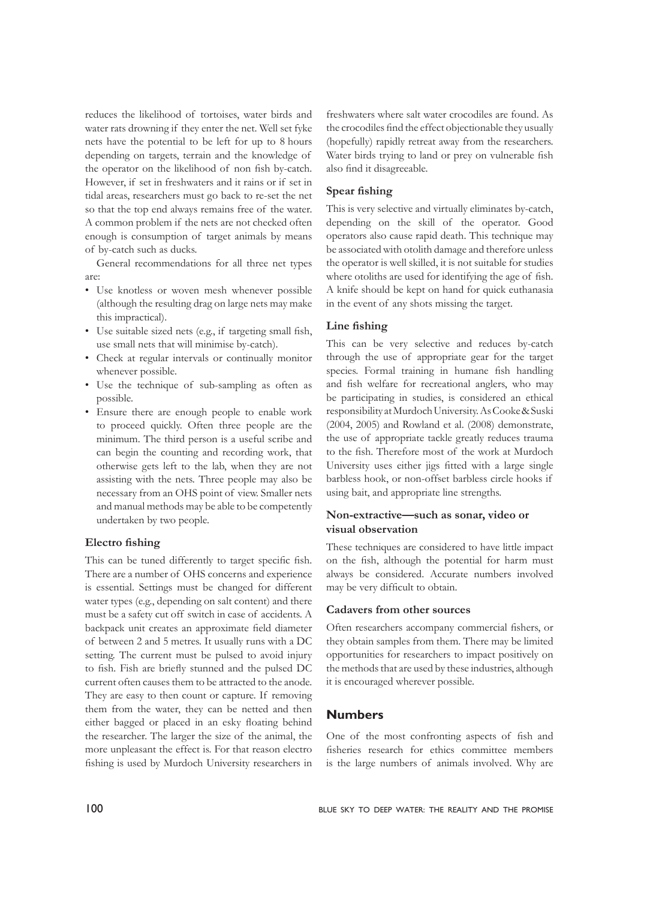reduces the likelihood of tortoises, water birds and water rats drowning if they enter the net. Well set fyke nets have the potential to be left for up to 8 hours depending on targets, terrain and the knowledge of the operator on the likelihood of non fish by-catch. However, if set in freshwaters and it rains or if set in tidal areas, researchers must go back to re-set the net so that the top end always remains free of the water. A common problem if the nets are not checked often enough is consumption of target animals by means of by-catch such as ducks.

General recommendations for all three net types are:

- Use knotless or woven mesh whenever possible (although the resulting drag on large nets may make this impractical).
- Use suitable sized nets (e.g., if targeting small fish, use small nets that will minimise by-catch).
- Check at regular intervals or continually monitor whenever possible.
- Use the technique of sub-sampling as often as possible.
- Ensure there are enough people to enable work to proceed quickly. Often three people are the minimum. The third person is a useful scribe and can begin the counting and recording work, that otherwise gets left to the lab, when they are not assisting with the nets. Three people may also be necessary from an OHS point of view. Smaller nets and manual methods may be able to be competently undertaken by two people.

#### **Electro fishing**

This can be tuned differently to target specific fish. There are a number of OHS concerns and experience is essential. Settings must be changed for different water types (e.g., depending on salt content) and there must be a safety cut off switch in case of accidents. A backpack unit creates an approximate field diameter of between 2 and 5 metres. It usually runs with a DC setting. The current must be pulsed to avoid injury to fish. Fish are briefly stunned and the pulsed DC current often causes them to be attracted to the anode. They are easy to then count or capture. If removing them from the water, they can be netted and then either bagged or placed in an esky floating behind the researcher. The larger the size of the animal, the more unpleasant the effect is. For that reason electro fishing is used by Murdoch University researchers in freshwaters where salt water crocodiles are found. As the crocodiles find the effect objectionable they usually (hopefully) rapidly retreat away from the researchers. Water birds trying to land or prey on vulnerable fish also find it disagreeable.

#### **Spear fishing**

This is very selective and virtually eliminates by-catch, depending on the skill of the operator. Good operators also cause rapid death. This technique may be associated with otolith damage and therefore unless the operator is well skilled, it is not suitable for studies where otoliths are used for identifying the age of fish. A knife should be kept on hand for quick euthanasia in the event of any shots missing the target.

#### **Line fishing**

This can be very selective and reduces by-catch through the use of appropriate gear for the target species. Formal training in humane fish handling and fish welfare for recreational anglers, who may be participating in studies, is considered an ethical responsibility at Murdoch University. As Cooke & Suski (2004, 2005) and Rowland et al. (2008) demonstrate, the use of appropriate tackle greatly reduces trauma to the fish. Therefore most of the work at Murdoch University uses either jigs fitted with a large single barbless hook, or non-offset barbless circle hooks if using bait, and appropriate line strengths.

## **Non-extractive—such as sonar, video or visual observation**

These techniques are considered to have little impact on the fish, although the potential for harm must always be considered. Accurate numbers involved may be very difficult to obtain.

#### **Cadavers from other sources**

Often researchers accompany commercial fishers, or they obtain samples from them. There may be limited opportunities for researchers to impact positively on the methods that are used by these industries, although it is encouraged wherever possible.

#### **Numbers**

One of the most confronting aspects of fish and fisheries research for ethics committee members is the large numbers of animals involved. Why are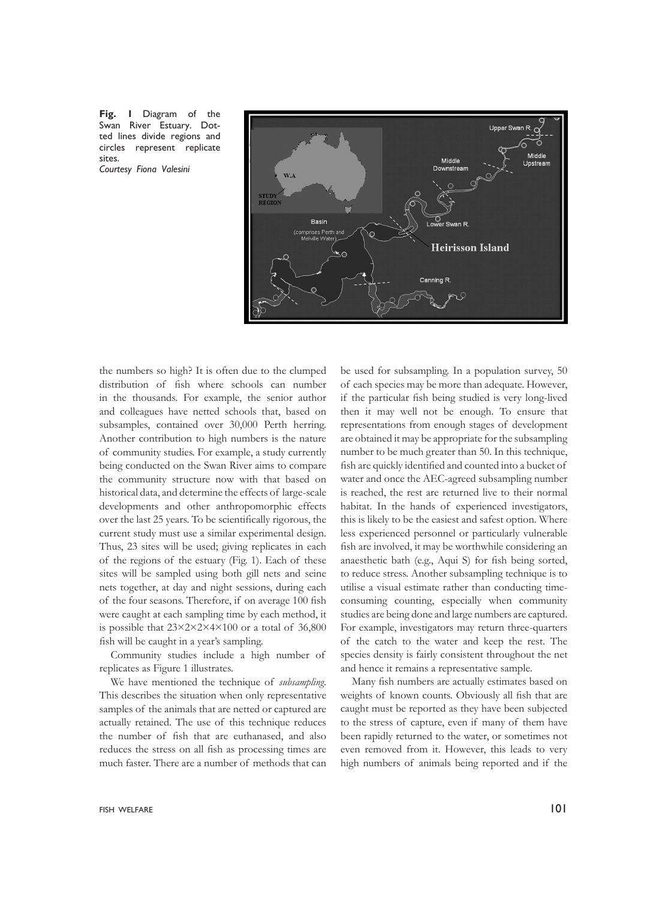**Fig. 1** Diagram of the Swan River Estuary. Dotted lines divide regions and circles represent replicate sites. *Courtesy Fiona Valesini*



the numbers so high? It is often due to the clumped distribution of fish where schools can number in the thousands. For example, the senior author and colleagues have netted schools that, based on subsamples, contained over 30,000 Perth herring. Another contribution to high numbers is the nature of community studies. For example, a study currently being conducted on the Swan River aims to compare the community structure now with that based on historical data, and determine the effects of large-scale developments and other anthropomorphic effects over the last 25 years. To be scientifically rigorous, the current study must use a similar experimental design. Thus, 23 sites will be used; giving replicates in each of the regions of the estuary (Fig. 1). Each of these sites will be sampled using both gill nets and seine nets together, at day and night sessions, during each of the four seasons. Therefore, if on average 100 fish were caught at each sampling time by each method, it is possible that 23×2×2×4×100 or a total of 36,800 fish will be caught in a year's sampling.

Community studies include a high number of replicates as Figure 1 illustrates.

We have mentioned the technique of *subsampling*. This describes the situation when only representative samples of the animals that are netted or captured are actually retained. The use of this technique reduces the number of fish that are euthanased, and also reduces the stress on all fish as processing times are much faster. There are a number of methods that can of each species may be more than adequate. However, if the particular fish being studied is very long-lived then it may well not be enough. To ensure that representations from enough stages of development are obtained it may be appropriate for the subsampling number to be much greater than 50. In this technique, fish are quickly identified and counted into a bucket of water and once the AEC-agreed subsampling number is reached, the rest are returned live to their normal habitat. In the hands of experienced investigators, this is likely to be the easiest and safest option. Where less experienced personnel or particularly vulnerable fish are involved, it may be worthwhile considering an anaesthetic bath (e.g., Aqui S) for fish being sorted, to reduce stress. Another subsampling technique is to utilise a visual estimate rather than conducting timeconsuming counting, especially when community studies are being done and large numbers are captured. For example, investigators may return three-quarters of the catch to the water and keep the rest. The species density is fairly consistent throughout the net and hence it remains a representative sample.

be used for subsampling. In a population survey, 50

Many fish numbers are actually estimates based on weights of known counts. Obviously all fish that are caught must be reported as they have been subjected to the stress of capture, even if many of them have been rapidly returned to the water, or sometimes not even removed from it. However, this leads to very high numbers of animals being reported and if the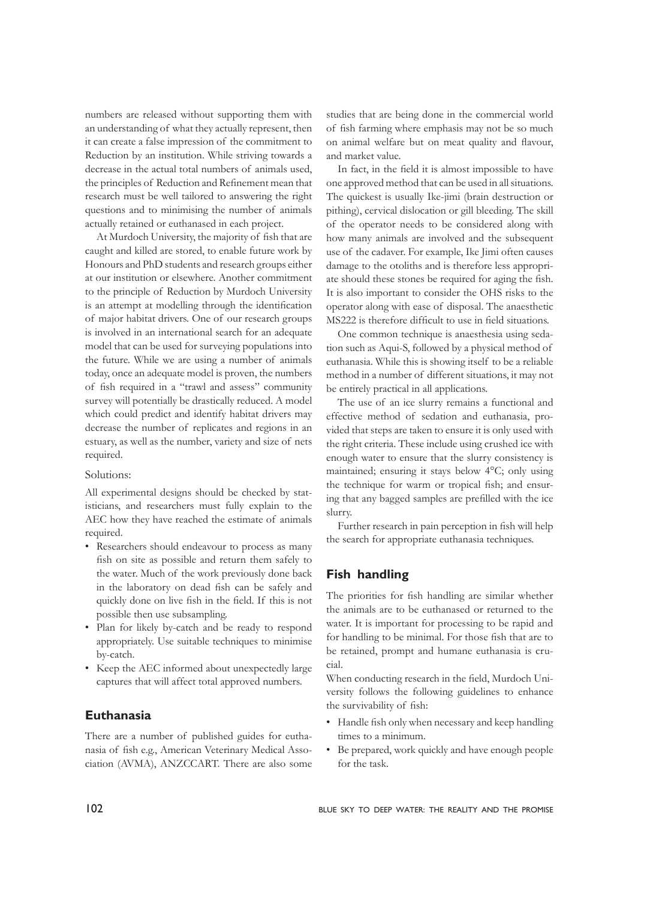numbers are released without supporting them with an understanding of what they actually represent, then it can create a false impression of the commitment to Reduction by an institution. While striving towards a decrease in the actual total numbers of animals used, the principles of Reduction and Refinement mean that research must be well tailored to answering the right questions and to minimising the number of animals actually retained or euthanased in each project.

At Murdoch University, the majority of fish that are caught and killed are stored, to enable future work by Honours and PhD students and research groups either at our institution or elsewhere. Another commitment to the principle of Reduction by Murdoch University is an attempt at modelling through the identification of major habitat drivers. One of our research groups is involved in an international search for an adequate model that can be used for surveying populations into the future. While we are using a number of animals today, once an adequate model is proven, the numbers of fish required in a "trawl and assess" community survey will potentially be drastically reduced. A model which could predict and identify habitat drivers may decrease the number of replicates and regions in an estuary, as well as the number, variety and size of nets required.

#### Solutions:

All experimental designs should be checked by statisticians, and researchers must fully explain to the AEC how they have reached the estimate of animals required.

- Researchers should endeavour to process as many fish on site as possible and return them safely to the water. Much of the work previously done back in the laboratory on dead fish can be safely and quickly done on live fish in the field. If this is not possible then use subsampling.
- Plan for likely by-catch and be ready to respond appropriately. Use suitable techniques to minimise by-catch.
- Keep the AEC informed about unexpectedly large captures that will affect total approved numbers.

# **Euthanasia**

There are a number of published guides for euthanasia of fish e.g., American Veterinary Medical Association (AVMA), ANZCCART. There are also some

studies that are being done in the commercial world of fish farming where emphasis may not be so much on animal welfare but on meat quality and flavour, and market value.

In fact, in the field it is almost impossible to have one approved method that can be used in all situations. The quickest is usually Ike-jimi (brain destruction or pithing), cervical dislocation or gill bleeding. The skill of the operator needs to be considered along with how many animals are involved and the subsequent use of the cadaver. For example, Ike Jimi often causes damage to the otoliths and is therefore less appropriate should these stones be required for aging the fish. It is also important to consider the OHS risks to the operator along with ease of disposal. The anaesthetic MS222 is therefore difficult to use in field situations.

One common technique is anaesthesia using sedation such as Aqui-S, followed by a physical method of euthanasia. While this is showing itself to be a reliable method in a number of different situations, it may not be entirely practical in all applications.

The use of an ice slurry remains a functional and effective method of sedation and euthanasia, provided that steps are taken to ensure it is only used with the right criteria. These include using crushed ice with enough water to ensure that the slurry consistency is maintained; ensuring it stays below 4°C; only using the technique for warm or tropical fish; and ensuring that any bagged samples are prefilled with the ice slurry.

Further research in pain perception in fish will help the search for appropriate euthanasia techniques.

# **Fish handling**

The priorities for fish handling are similar whether the animals are to be euthanased or returned to the water. It is important for processing to be rapid and for handling to be minimal. For those fish that are to be retained, prompt and humane euthanasia is crucial.

When conducting research in the field, Murdoch University follows the following guidelines to enhance the survivability of fish:

- Handle fish only when necessary and keep handling times to a minimum.
- Be prepared, work quickly and have enough people for the task.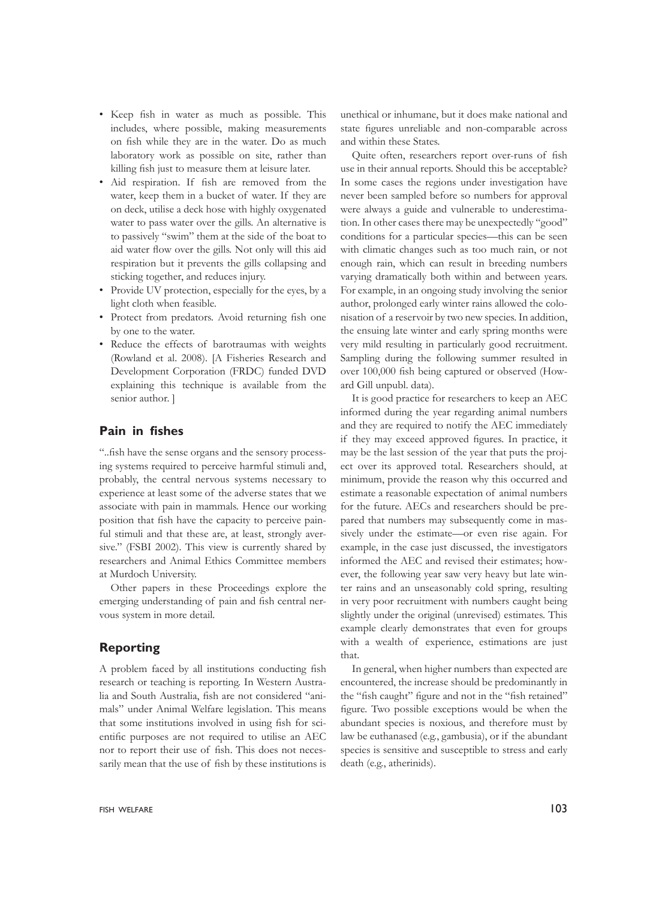- Keep fish in water as much as possible. This includes, where possible, making measurements on fish while they are in the water. Do as much laboratory work as possible on site, rather than killing fish just to measure them at leisure later.
- Aid respiration. If fish are removed from the water, keep them in a bucket of water. If they are on deck, utilise a deck hose with highly oxygenated water to pass water over the gills. An alternative is to passively "swim" them at the side of the boat to aid water flow over the gills. Not only will this aid respiration but it prevents the gills collapsing and sticking together, and reduces injury.
- Provide UV protection, especially for the eyes, by a light cloth when feasible.
- Protect from predators. Avoid returning fish one by one to the water.
- Reduce the effects of barotraumas with weights (Rowland et al. 2008). [A Fisheries Research and Development Corporation (FRDC) funded DVD explaining this technique is available from the senior author. ]

# **Pain in fishes**

"..fish have the sense organs and the sensory processing systems required to perceive harmful stimuli and, probably, the central nervous systems necessary to experience at least some of the adverse states that we associate with pain in mammals. Hence our working position that fish have the capacity to perceive painful stimuli and that these are, at least, strongly aversive." (FSBI 2002). This view is currently shared by researchers and Animal Ethics Committee members at Murdoch University.

Other papers in these Proceedings explore the emerging understanding of pain and fish central nervous system in more detail.

# **Reporting**

A problem faced by all institutions conducting fish research or teaching is reporting. In Western Australia and South Australia, fish are not considered "animals" under Animal Welfare legislation. This means that some institutions involved in using fish for scientific purposes are not required to utilise an AEC nor to report their use of fish. This does not necessarily mean that the use of fish by these institutions is

unethical or inhumane, but it does make national and state figures unreliable and non-comparable across and within these States.

Quite often, researchers report over-runs of fish use in their annual reports. Should this be acceptable? In some cases the regions under investigation have never been sampled before so numbers for approval were always a guide and vulnerable to underestimation. In other cases there may be unexpectedly "good" conditions for a particular species—this can be seen with climatic changes such as too much rain, or not enough rain, which can result in breeding numbers varying dramatically both within and between years. For example, in an ongoing study involving the senior author, prolonged early winter rains allowed the colonisation of a reservoir by two new species. In addition, the ensuing late winter and early spring months were very mild resulting in particularly good recruitment. Sampling during the following summer resulted in over 100,000 fish being captured or observed (Howard Gill unpubl. data).

It is good practice for researchers to keep an AEC informed during the year regarding animal numbers and they are required to notify the AEC immediately if they may exceed approved figures. In practice, it may be the last session of the year that puts the project over its approved total. Researchers should, at minimum, provide the reason why this occurred and estimate a reasonable expectation of animal numbers for the future. AECs and researchers should be prepared that numbers may subsequently come in massively under the estimate—or even rise again. For example, in the case just discussed, the investigators informed the AEC and revised their estimates; however, the following year saw very heavy but late winter rains and an unseasonably cold spring, resulting in very poor recruitment with numbers caught being slightly under the original (unrevised) estimates. This example clearly demonstrates that even for groups with a wealth of experience, estimations are just that.

In general, when higher numbers than expected are encountered, the increase should be predominantly in the "fish caught" figure and not in the "fish retained" figure. Two possible exceptions would be when the abundant species is noxious, and therefore must by law be euthanased (e.g., gambusia), or if the abundant species is sensitive and susceptible to stress and early death (e.g., atherinids).